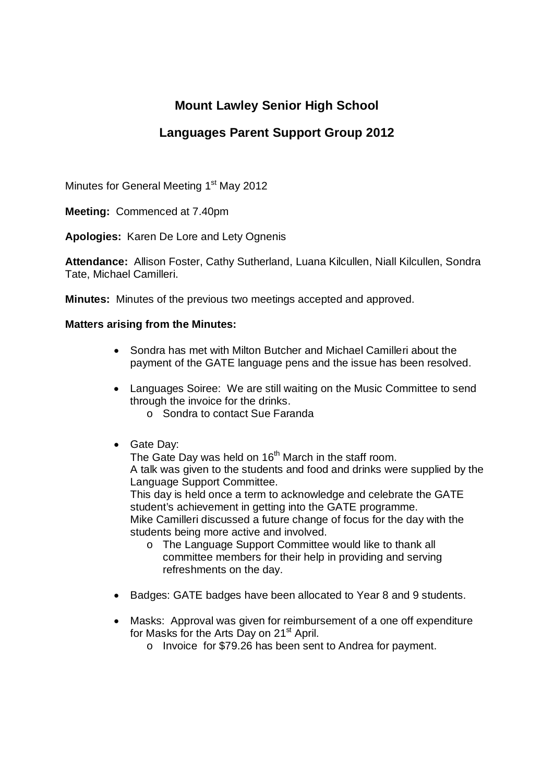# **Mount Lawley Senior High School**

## **Languages Parent Support Group 2012**

Minutes for General Meeting 1<sup>st</sup> May 2012

**Meeting:** Commenced at 7.40pm

**Apologies:** Karen De Lore and Lety Ognenis

**Attendance:** Allison Foster, Cathy Sutherland, Luana Kilcullen, Niall Kilcullen, Sondra Tate, Michael Camilleri.

**Minutes:** Minutes of the previous two meetings accepted and approved.

### **Matters arising from the Minutes:**

- Sondra has met with Milton Butcher and Michael Camilleri about the payment of the GATE language pens and the issue has been resolved.
- Languages Soiree: We are still waiting on the Music Committee to send through the invoice for the drinks.
	- o Sondra to contact Sue Faranda
- Gate Day:

The Gate Day was held on 16<sup>th</sup> March in the staff room. A talk was given to the students and food and drinks were supplied by the Language Support Committee.

This day is held once a term to acknowledge and celebrate the GATE student's achievement in getting into the GATE programme. Mike Camilleri discussed a future change of focus for the day with the students being more active and involved.

- o The Language Support Committee would like to thank all committee members for their help in providing and serving refreshments on the day.
- Badges: GATE badges have been allocated to Year 8 and 9 students.
- Masks: Approval was given for reimbursement of a one off expenditure for Masks for the Arts Day on 21<sup>st</sup> April.
	- o Invoice for \$79.26 has been sent to Andrea for payment.